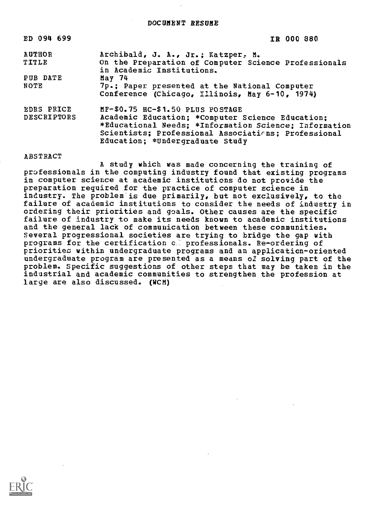| ED 094 699         | IR 000 880                                            |
|--------------------|-------------------------------------------------------|
| <b>AUTHOR</b>      | Archibald, J. A., Jr.; Katzper, M.                    |
| TITLE              | On the Preparation of Computer Science Professionals  |
|                    | in Academic Institutions.                             |
| PUB DATE           | May 74                                                |
| NOTE               | 7p.; Paper presented at the National Computer         |
|                    | Conference (Chicago, Illinois, May 6-10, 1974)        |
| <b>EDRS PRICE</b>  | MF-\$0.75 HC-\$1.50 PLUS POSTAGE                      |
| <b>DESCRIPTORS</b> | Academic Education; *Computer Science Education;      |
|                    | *Educational Needs; *Information Science; Information |
|                    | Scientists; Professional Associations; Professional   |
|                    | Education; *Undergraduate Study                       |

## ABSTRACT

A study which was made concerning the training of professionals in the computing industry found that existing programs in computer science at academic institutions do not provide the preparation required for the practice of computer science in industry. The problem is due primarily, but not exclusively, to the failure of academic institutions to consider the needs of industry in ordering their priorities and goals. Other causes are the specific failure of industry to make its needs known to academic institutions and the general lack of communication between these communities. Several progressional societies are trying to bridge the gap with programs for the certification of professionals. Re-ordering of priorities within undergraduate programs and an application-oriented undergraduate program are presented as a means of solving part of the problem. Specific suggestions of other steps that may be taken in the industrial and academic communities to strengthen the profession at large are also discussed. (WCM)

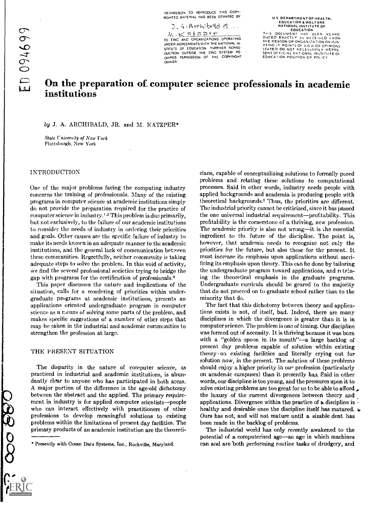-PERMISSION TO REPRODUCE THIS COPY-RIGHTED MATERIAL HAS BEEN GRANTED BY

(.``n: bola el . -s a p t TO ERIC AND ORGANIZATIONS OPERATING UNDER AGREEMENTS WITH THE NATIONAL IN. STITUTE OF EDUCATION FURTHER REPRO- DUCTION OUTSIDE THE ERIC SYSTEM RE-QUIRES PERMISSION OF THE COPYRIGHT

U S DEPARTMENT OF HEALTH,<br>EDUCATION & WELFARE<br>NATIONAL INSTITUTE OF

EDUCATION<br>THIS DOCUMENT HAS BEEN REPRO<br>DUCED EXACTLY AS RECEIVED FROM<br>ATING IT POINTS OF VIEW OR OPINIONS<br>ATING IT POINTS OF VIEW OR OPINIONS<br>STATED DO NOT NECESSARILY REPRE SENT OF FICIAL NATIONAL INSTITUTE OF EDUCATION POSITION OR POLICY

# On the preparation of computer science professionals in academic institutions

OWNER

#### by J. A. ARCHIBALD, JR. and M. KATZPER\*

State University of New York Plattsburgh, New York

## INTRODUCTION

One of the major problems facing the computing industry concerns the training of professionals. Many of the existing programs in computer science at academic institutions simply do not provide the preparation required for the practice of computer science in industry.' .2 This problem is due primarily, but not exclusively, to the failure of our academic institutions to consider the needs of industry in ordering their priorities and goals. Other causes are the specific failure of industry to make its needs known in an adequate manner to the academic institutions, and the general lack of communication between these communities. Regretfully, neither community is taking adequate steps to solve the problem. In this void of activity, we find the several professional societies trying to bridge the gap with programs for the certification of professionals.<sup>3</sup>

This paper discusses the nature and implications of the situation, calls for a reordering of priorities within undergraduate programs at academic institutions, presents an applications oriented undergraduate program in computer science as a means of solving some parts of the problem, and makes specific suggestions of a number of other steps that may he taken in the industrial and academic communities to strengthen the profession at large.

#### THE PRESENT SITUATION

399000

The disparity in the nature of computer science, as practiced in industrial and academic institutions, is abundantly clear to anyone who has participated in both areas. A major portion of the difference is the age-old dichotomy between the abstract and the applied. The primary requirement in industry is for applied computer scientists--people who can interact effectively with practitioners of other professions to develop meaningful solutions to existing problems within the limitations of present day facilities. The primary products of an academic institution are the theoreticians, capable of conceptualizing solutions to formally posed problems and relating these solutions to computational processes. Said in other words, industry needs people with applied backgrounds and academia is producing people with theoretical backgrounds.' Thus, the priorities are different. The industrial priority cannot be criticized, since it has passed the one universal industrial requirement-profitability. This profitability is the cornerstone of a thriving, new profession. The academic priority is also not wrong—it is the essential ingredient to the future of the discipline. The point is, however, that academia needs to recognize not only the priorities for the future, but also those for the present. It must increase its emphasis upon applications without sacrificing its emphasis upon theory. This can be done by tailoring the undergraduate program toward applications, and retaining the theoretical emphasis in the graduate programs. Undergraduate curricula should be geared to the majority that do not proceed on to graduate school rather than to the minority that do.

The fact that this dichotomy between theory and applications exists is not, of itself, bad. Indeed, there are many disciplines in which the divergence is greater than it is in computer science. The problem is one of timing. Our discipline was formed out of necessity. It is thriving because it was born with a "golden spoon in its mouth"--a large backlog of present day problems capable of solution within existing theory Oa existing facilities and literally crying out for solution now, in the present. The solution of these problems should enjoy a higher priority in our profession (particularly on academic campuses) than it presently has. Said in other words, our discipline is too young, and the pressures upon it to solve existing problems are too great for us to be able to afford. the luxury of the current divergences between theory and applications. Divergence within the practice of a discipline is  $\cdot$ healthy and desirable once the discipline itself has matured.  $\boldsymbol{\psi}$ Ours has not, and will not mature until a sizable dent has been made in the backlog of problems.

The industrial world has only recently awakened to the potential of a computerized age—an age in which machines can and are both performing routine tasks of drudgery, and

<sup>\*</sup> Presently with Ocean Data Systems, Inc., Rockville, Maryland.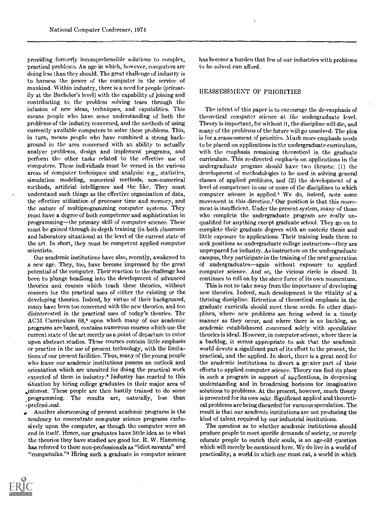providing formerly incomprehensible solutions to complex, practical problems. An age in which, however, computers are doing less than they should. The great challenge of industry is to harness the power of the computer in the service of mankind. Within industry, there is a need for people (primarily at the Bachelor's level) with the capability of joining and contributing to the problem solving team through the infusion of new ideas, techniques, and capabilities. This means people who have some understanding of both the problems of the industry concerned, and the methods of using currently available computers to solve these problems. This, in turn, means people who have combined a strong background in the area concerned with an ability to actually analyze problems, design and implement programs, and perform the other tasks related to the effective use of computers. These individuals must be versed in the various areas of computer techniques and analysis: e.g., statistics, simulation modeling, numerical methods, non-numerical methods, artificial intelligence and the like. They must understand such things as the effective organization of data, the effective utilization of processor time and memory, and the nature of multiprogramming computer systems. They must have a degree of both competence and sophistication in programming—the primary skill of computer science. These must be gained through in-depth training (in both classroom and laboratory situations) at the level of the current state of the art. In short, they must be competent applied computer scientists.

Our academic institutions have also, recently, awakened to a new age. They, too, have become impressed by the great potential of the computer. Their reaction to the challenge has been to plunge headlong into the development of advanced theories and courses which teach these theories, without concern for the practical uses of either the existing or the developing theories. Indeed, by virtue of their background, many have been too concerned with the new theories, and too disinterested in the practical uses of today's theories. The ACM Curriculum 68,4 upon which many of our academic programs are based, contains numerous courses which use the current state of the art merely as a point of departure to enter upon abstract studies. These courses contain little emphasis or practice in the use of present technology, with the limitations of our present facilities. Thus, many of the young people who leave our academic institutions possess an outlook and orientation which are unsuited for doing the practical work expected of them in industry.° Industry has reacted to this situation by hiring college graduates in their major area of interest. These people are then hastily trained to do some programming. The results are, naturally, less than .professional.

Another shortcoming of present academic programs is the tendency to concentrate computer science programs exclusively upon the computer, as though the computer were an end in itself. Hence, our graduates have little idea as to what the theories they have studied are good for. R. W. Hamming has referred to these non-professionals as "idiot savants" and "computniks."<sup>5</sup> Hiring such a graduate in computer science has become a burden that few of our industries with problems to be solved can afford.

#### REASSESSMENT OF PRIORITIES

The intent of this paper is to encourage the de-emphasis of theoretical computer science at the undergraduate level. Theory is important, for without it, the discipline will die, and many of the problems of the future will go unsolved. The plea is for a reassessment of priorities. Much more emphasis needs to be placed on applications in the undergraduate curriculum, with the emphasis remaining theoretical in the graduate curriculum. This re-directed emphasis on applications in the undergraduate program should have two thrusts: (1) the development of methodologies to be used in solving general classes of applied problems, and (2) the development of a level of competence in one or more of the disciplines to which computer science is applied.' We do, indeed, note some movement in this direction? Our position is that this movement is insufficient. Under the present system, many of those who complete the undergraduate program are really unqualified for anything except graduate school. They go on to complete their graduate degrees with an esoteric thesis and little exposure to applications. Their training leads them to seek positions as undergraduate college instructors--they are unprepared for industry. As instructors on the undergraduate campus, they participate in the training of the next generation of undergraduates—again without exposure to applied computer science. And so, the vicious circle is closed. It continues to roll on by the sheer force of its own momentum.

This is not to take away from the importance of developing new theories. Indeed, such development is the vitality of a thriving discipline. Retention of theoretical emphasis in the graduate curricula should meet these needs. In other disciplines, where new problems are being solved in a timely manner as they occur, and where there is no backlog, an academic establishment concerned solely with speculative theories is ideal. However, in computer science, where there is a backlog, it seems appropriate to ask that the academic world devote a significant part of its effort to the present, the practical, and the applied. In short, there is a great need for the academic institutions to divert a greater part of their efforts to applied computer science. Theory can find its place in such a program in support of applications, in deepening understanding and in broadening horizons for imaginative solutions to problems. At the present, however, much theory is presented for its own sake. Significant applied and theoretical problems are being discarded for vacuous speculation. The result is that our academic institutions are not producing the kind of talent required by our industrial institutions.

The question as to whether academic institutions should produce people to meet specific demands of society, or merely educate people to enrich their souls, is an age -old question which will merely be mentioned here. We do live in a world of practicality, a world in which one must eat, a world in which

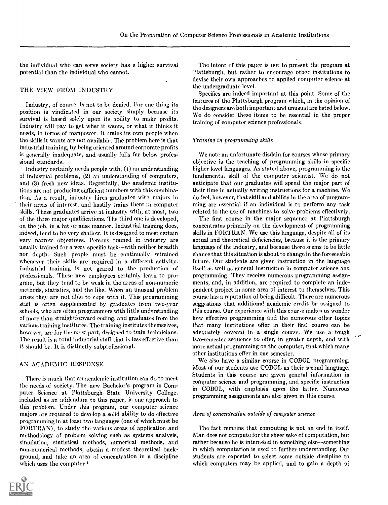the individual who can serve society has a higher survival potential than the individual who cannot.

#### THE VIEW FROM INDUSTRY

Industry, of course, is not to be denied. For one thing its position is vindicated in our society simply because its survival is based solely upon its ability to make profits. Industry will pay to get what it wants, or what it thinks it needs, in terms of manpower. it trains its own people when the skills it wants are not available. The problem here is that industrial training, by being oriented around corporate profits is generally inadequate, and usually falls far below professional standards.

Industry certainly needs people with, (1) an understanding of industrial problems, (2) an understanding of computers, and (3) fresh new ideas. Regretfully, the academic institutions are not producing sufficient numbers with this combination. As a result, industry hires graduates with majors in their areas of interest, and hastily trains them in computer skills. These graduates arrive at industry with, at most, two of the three major qualifications. The third one is developed, on the job, in a hit or miss manner. Industrial training does, indeed, tend to he very shallow. It is designed to meet certain very narrow objectives. Persons trained in industry are usually trained for a very specific task--with neither breadth nor depth. Such people must be continually retrained whenever their skills are required in a different activity. Industrial training is not geared to the production of professionals. These new employees certainly learn to program, but they tend to be weak in the areas of non-numeric methods, statistics, and the like. When an unusual problem arises they are not able to cope with it. This programming staff is often supplemented by graduates from two-year schools, who are often programmers with little understanding of more than straightforward coding, and graduates from the various training institutes. The training institutes themselves, however, are for the mest part, designed to train technicians. The result is a total industrial staff that is less effective than it should be. It is distinctly subprofessional.

#### AN ACADEMIC RESPONSE

There is much that an academic institution can do to meet the needs of society. The new Bachelor's program in Computer Science at Plattsburgh State University College, included as an addendum to this paper, is one approach to this problem. Under this program, our computer science majors arc required to develop a solid ability to do effective programming in at least two languages (one of which must be FORTRAN), to study the various areas of application and methodology of problem solving such as systems analysis, simulation, statistical methods, numerical methods, and non-numerical methods, obtain a modest theoretical background, and take an area of concentration in a discipline which uses the computer. &



Specifics are indeed important at this point. Some of the features of the Plattsburgh program which, in the opinion of the designers are both important and unusual are listed below. We do consider these items to be essential in the proper training of computer science professionals.

#### Training in programming skills

We note an unfortunate disdain for courses whose primary objective is the teaching of programming skills in specific higher level languages. As stated above, programming is the fundamental skill of the computer scientist. We do not anticipate that our graduates will spend the major part of their time in actually writing instructions for a machine. We do feel, however, that skill and ability in the area of programming are essential if an individual is to perform any task related to the use of machines to solve problems effectively.

The first course in the major sequence at Plattsburgh concentrates primarily on the development of programming skills in FORTRAN. We use this language, despite all of its actual and theoretical deficiencies, because it is the primary language of the industry, and because there seems to be little chance that this situation is about to change in the foreseeable future. Our students are given instruction in the language itself as well as general instruction in computer science and programming. They receive numerous programming assignments, and, in addition, are required to complete an independent project in some area of interest to themselves. This course has a reputation of being difficult. There are numerous suggestions that additional academic credit be assigned to this course. Our experience with this course makes us wonder how effective programming and the numerous other topics that many institutions offer in their firs( course can be adequately covered in a single course. We use a tough two-semester sequence to offer, in greater depth, and with more actual programming on the computer, that which many other institutions offer in one semester.

We also have a similar course in COBOL programming. Most of our students use COBOL as their second language. Students in this course are given general information in computer science and programming, and specific instruction in COBOL, with emphasis upon the latter. Numerous programming assignments are also given in this course.

#### Area of concentration outside of computer science

The fact remains that computing is not an end in itself. Man does not compute for the sheer sake of computation, but rather because he is interested in something else--something in which computation is used to further understanding. Our students are expected to select some outside discipline to which computers may be applied, and to gain a depth of

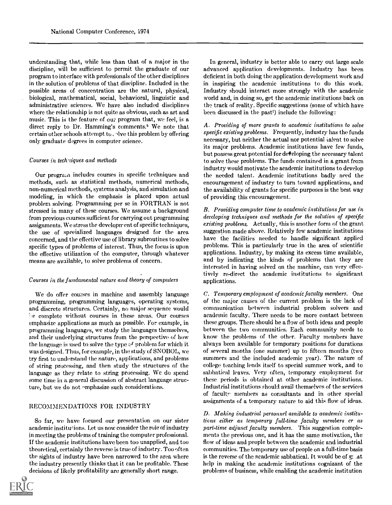understanding that, while less than that of a major in the discipline, will be sufficient to permit the graduate of our program to interface with professionals of the other disciplines in the solution of problems of that discipline. Included in the possible areas of concentration are the natural, physical, biological, mathematical, social, behavioral, linguistic and administrative sciences. We have also included disciplines where the relationship is not quite as obvious, such as art and music. This is the feature of our program that, we feel, is a direct reply to Dr. Hamming's comments.' We note that certain other schools attempt to . Ave this problem by offering only graduate degrees in computer science.

#### Courses in techniques and methods

Our program includes courses in specific techniques and methods, such as statistical methods, numerical methods, non-numerical methods, systems analysis, and simulation and modeling, in which the emphasis is placed upon actual problem solving. Programming per se in FORTRAN is not stressed in many of these courses. We assume a background from previous courses sufficient for carrying out programming assignments. We stress the development of specific techniques, the use of specialized languages designed for the area concerned, and the effective use of library subroutines to solve specific types of problems of interest. Thus, the focus is upon the effective utilization of the computer, through whatever means are available, to solve problems of concern.

## Courses in the fundamental nature and theory of computers

We do offer courses in machine and assembly language programming, programming languages, operating systems, and discrete structures. Certainly, no major sequence would be complete without courses in these areas. Our courses emphasize applications as much as possible. For example, in programming languages, we study the languages themselves, and their underlying structures from the perspective of how the language is used to solve the type of problem for which it was designed. Thus, for example, in the study of SNOBOL, we try first to understand the nature, applications, and problems of string processing, and then study the structures of the language as they relate to string processing. We do spend some time in a general discussion of abstract language structure, but we do not 'mphasize such considerations.

## RECOMMENDATIONS FOR INDUSTRY

So far, we have focused our presentation on our sister academic institutions. Let us now consider the role of industry in meeting the problems of training the computer professional. If the academic institutions have been too unapplied, and too theoretical, certainly the reverse is true of industry. Too often the sights of industry have been narrowed to the area where the industry presently thinks that it can be profitable. These decisions of likely profitability are generally short range.



In general, industry is better able to carry out large scale advanced application developments. Industry has been deficient in both doing the application development work and in inspiring the academic institutions to do this work. Industry should interact more strongly with the academic world and, in doing so, get the academic institutions back on the track of reality. Specific suggestions (some of which have been discussed in the past') include the following:

A. Providing of more grants to academic institutions to solve specific existing problems. Frequently, industry has the funds necessary, but neither the actual nor potential talent to solve its major problems. Academic institutions have few funds, but possess great potential for developing the necessary talent to solve these problems. The funds contained in a grant from industry would motivate the academic institutions to develop the needed talent. Academic institutions badly need the encouragement of industry to turn toward applications, and the availability of grants for specific purposes is the best way of providing this encouragement.

B. Providing computer time to academic institutions for use in developing techniques and methods for the solution of specific existing problems. Actually, this is another form of the grant suggestion made above. Relatively few academic institutions have the facilities needed to handle significant applied problems. This is particularly true in the area of scientific applications. Industry, by making its excess time available, and by indicating the kinds of problems that they are interested in having solved on the machine, can very effectively re-direct the academic institutions to significant applications.

C. Temporary employment of academic faculty members. One of the major causes of the current problem is the lack of communication between industrial problem solvers and academic faculty. There needs to be more contact between these groups. There should be a flow of both ideas and people between the two communities. Each community needs to know the problems of the other. Faculty members have always been available for temporary positions for durations of several months (one summer) up to fifteen months (two summers and the included academic year). The nature of college teaching lends itself to special summer work, and to sabbatical leaves. Very often, temporary employment for these periods is obtained at other academic institutions. Industrial institutions should avail themselves of the services of faculty members as consultants and in other special assignments of a temporary nature to aid this flow of ideas.

D. Making industrial personnel available to academic institutions either as temporary full-time faculty members cr as part-time adjunct faculty members. This suggestion complements the previous one, and it has the same motivation, the flow of ideas and people between the academic and industrial communities. The temporary use of people on a full-time basis is the reverse of the academic sabbatical. It would be of g: .at help in making the academic institutions cognizant of the problems of business, while enabling the academic institution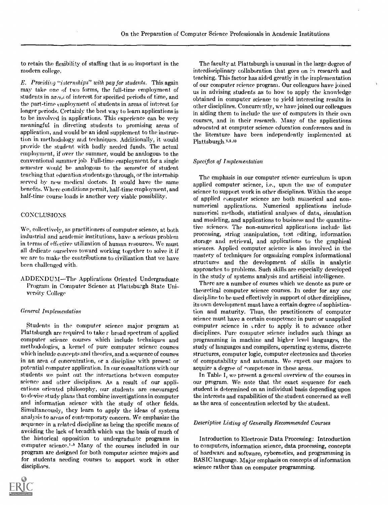to retain the flexibility of staffing that is so important in the modern college.

E. Providing "internships" with pay for students. This again may take one of two forms, the full-time employment of students in areas of interest for specified periods of time, and the part-time employment of students in areas of interest for longer periods. Certainly the best way to learn applications is to be involved in applications. This experience can be very meaningful in directing students to promising areas of application, and would be an ideal supplement to the instruction in methodology and techniques. Additionally, it would provide the student with badly needed funds. The actual employment, if over the summer, would be analogous to the conventional summer job. Full-time employment for a single semester would he analogous to the semester of student teaching that education students go through, or the internship served by new medical doctors. It would have the same benefits. Where conditions permit, half-time employment, and half-time course loads is another very viable possibility.

## **CONCLUSIONS**

We, collectively, as practitioners of computer science, at both industrial and academic institutions, have a serious problem in terms of effective utilization of human resources. We must all dedicate ourselves toward working together to solve it if we are to make the contributions to civilization that we have been challenged with.

ADDENDUM-The Applications Oriented Undergraduate Program in Computer Science at Plattsburgh State University College

## General Implementation

Students in the computer science major program at Plattsburgh are required to take  $\varepsilon$  broad spectrum of applied computer science courses which include techniques and methodologies, a kernel of pure computer science courses which include concepts and theories, and a sequence of courses in an area of concentration, or a discipline with present or potential computer application. In our consultations with our students we point out the interactions between computer science and other disciplines. As a result of our applications oriented philosophy, our students are encouraged to devise study plans that combine investigations in computer and information science with the study of other fields. Simultaneously, they learn to apply the ideas of systems analysis to areas of contemporary concern. We emphasize the sequence in a related discipline as being the specific means of avoiding the lack of breadth which was the basis of much of the historical opposition to undergraduate programs in computer science.<sup>1.5</sup> Many of the courses included in our program are designed for both computer science majors and for students needing courses to support work in other disciplines.



#### Specifics of Implementation

The emphasis in our computer science curriculum is upon applied computer science, i.e., upon the use of computer science to support work in other disciplines. Within the scope of applied computer science are both numerical and nonnumerical applications. Numerical applications include numerical methods, statistical analyses of data, simulation and modeling, and applications to business and the quantitative sciences. The non-numerical applications include list processing, string manipulation, text editing, information storage and retrieval, and applications to the graphical sciences. Applied computer science is also involved in the mastery of techniques for organizing complex informational structures and the development of skills in analytic approaches to problems. Such skills are especially developed in the study of systems analysis and artificial intelligence.

There are a number of courses which we denote as pure or theoretical computer science courses. In order for any one discipline to be used effectively in support of other disciplines, its own development must have a certain degree of sophistication and maturity. Thus, the practitioners of computer science must have a certain competence in pure or unapplied computer science in order to apply it to advance other disciplines. Pure computer science includes such things as programming in machine and higher level languages, the study of languages and compilers, operating systems, discrete structures, computer logic, computer electronics and theories of computability and automata. We expect our majors to acquire a degree of competence in these areas.

In Table I, we present a general overview of the courses in our program. We note that the exact sequence for each student is determined on an individual basis depending upon the interests and capabilities of the student concerned as well as the area of concentration selected by the student.

#### Descriptive Listing of Generally Recommended Courses

Introduction to Electronic Data Processing: Introduction to computers, information science, data processing, concepts of hardware and software, cybernetics, and programming in BASIC language. Major emphasis on concepts of information science rather than on computer programming.

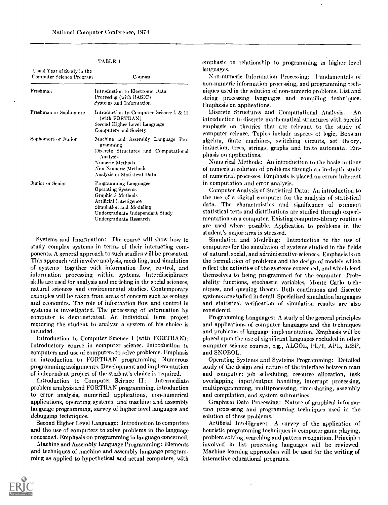#### TABLE I

| Usual Year of Study in the<br>Computer Science Program | Courses                                                                                                                                                                              |
|--------------------------------------------------------|--------------------------------------------------------------------------------------------------------------------------------------------------------------------------------------|
| Freshman                                               | Introduction to Electronic Data<br>Processing (with BASIC)<br>Systems and Information                                                                                                |
| Freshman or Sophomore                                  | Introduction to Computer Science I & H<br>(with FORTRAN)<br>Second Higher Level Language<br>Computers and Society                                                                    |
| Sophomore or Junior                                    | Machine and Assembly Language Pro-<br>gramming<br>Discrete Structures and Computational<br>Analysis<br>Numeric Methods<br><b>Non-Numeric Methods</b><br>Analysis of Statistical Data |
| Junior or Senior                                       | Programming Languages<br>Operating Systems<br>Graphical Methods<br>Artificial Intelligence<br>Simulation and Modeling<br>Undergraduate Independent Study<br>Undergraduate Research   |

Systems and Information: The course will show how to study complex systems in terms of their interacting components. A general approach to such studies will be presented. This approach will involve analysis, modeling, and simulation of systems together with information flow, control, and information processing within systems. Interdisciplinary skills are used for analysis and modeling in the social sciences, natural sciences and environmental studies. Contemporary examples will be taken from areas of concern such as ecology and economics. The role of information flow and control in systems is investigated. The processing of information by computer is demonstrated. An individual term project requiring the student to analyze a system of his choice is included.

Introduction to Computer Science I (with FORTRAN): Introductory course in computer science. Introduction to computers and use of computers to solve problems. Emphasis on introduction to FORTRAN programming. Numerous programming assignments. Development and implementation of independent project of the student's choice is required.

introduction to Computer Science II: Intermediate problem analysis and FORTRAN programming, introduction to error analysis, numerical applications, non-numerical applications, operating systems, and machine and assembly language programming, survey of higher level languages and debugging techniques.

Second Higher Level Language: Introduction to computers and the use of computers to solve problems in the language concerned. Emphasis on programming in language concerned.

Machine and Assembly Language Programming: Elements and techniques of machine and assembly language programming as applied to hypothetical and actual computers, with emphasis on relationship to programming in higher level languages.

Non-numeric Information Processing: Fundamentals of non-numeric information processing, and programming techniques used in the solution of non-numeric problems. List and string processing languages and compiling techniques. Emphasis on applications.

Discrete Structures and Computational Analysis: An introduction to discrete mathematical structures with special emphasis on theories that are relevant to the study of computer science. Topics include aspects of logic, Boolean algebra, finite machines, switching circuits, set theory, induction, trees, strings, graphs and finite automata. Emphasis on applications.

Numerical Methods: An introduction to the basic notions of numerical solution of problems through an in-depth study of numerical processes. Emphasis is placed on errors inherent in computation and error analysis.

Computer Analysis of Statistical Data: An introduction to the use of a digital computer for the analysis of statistical data. The characteristics and significance of common statistical tests and distributions are studied through experimentation on a computer. Existing computer-library routines are used where possible. Application to problems in the student's major area is stressed.

Simulation and Modeling: Introduction to the use of computers for the simulation of systems studied in the fields of natural, social, and administrative sciences. Emphasis is on the formulation of problems and the design of models which reflect the activities of the systems concerned, and which lend themselves to being programmed for the computer. Probability functions, stochastic variables, Monte Carlo techniques, and queuing theory. Both continuous and discrete systems are studied in detail. Specialized simulation languages and statisticai verification of simulation results are also considered.

Programming Languages: A study of the general principles and applications of computer languages and the techniques and problems of language implementation. Emphasis will be placed upon the use of significant languages excluded in other computer science courses, e.g., ALGOL, PL/I, APL, LISP, and SNOROL.

Operating Systems and Systems Programming: Detailed study of the design and nature of the interface between man and computer: job scheduling, resource allocation, task overlapping, input/output handling, interrupt processing, multiprogramming, multiprocessing, time-sharing, assembly and compilation, and system subroutines.

Graphical Data Processing: Nature of graphical information processing and programming techniques used in the solution of these problems.

Artificial Inteliigence: A survey of the application of heuristic programming techniques in computer game playing, problem solving, searching and pattern recognition. Principles involved in list processing languages will be reviewed. Machine learning approaches will be used for the writing of interactive educational programs.